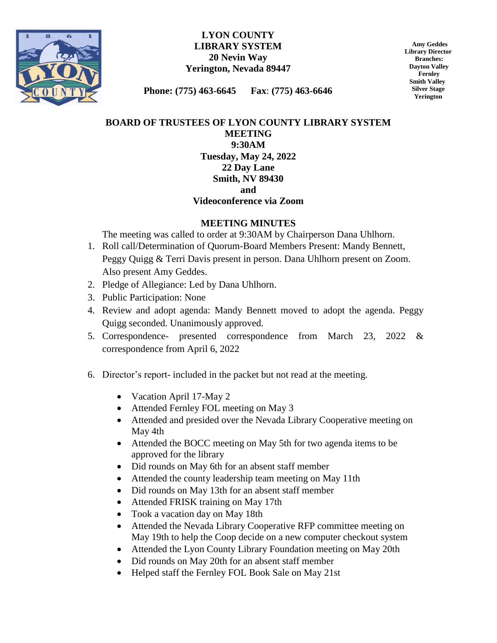

## **LYON COUNTY LIBRARY SYSTEM 20 Nevin Way Yerington, Nevada 89447**

 **Amy Geddes Library Director Branches: Dayton Valley Fernley Smith Valley Silver Stage Yerington**

**Phone: (775) 463-6645 Fax**: **(775) 463-6646**

## **BOARD OF TRUSTEES OF LYON COUNTY LIBRARY SYSTEM MEETING 9:30AM Tuesday, May 24, 2022 22 Day Lane Smith, NV 89430 and**

## **Videoconference via Zoom**

## **MEETING MINUTES**

The meeting was called to order at 9:30AM by Chairperson Dana Uhlhorn.

- 1. Roll call/Determination of Quorum-Board Members Present: Mandy Bennett, Peggy Quigg & Terri Davis present in person. Dana Uhlhorn present on Zoom. Also present Amy Geddes.
- 2. Pledge of Allegiance: Led by Dana Uhlhorn.
- 3. Public Participation: None
- 4. Review and adopt agenda: Mandy Bennett moved to adopt the agenda. Peggy Quigg seconded. Unanimously approved.
- 5. Correspondence- presented correspondence from March 23, 2022 & correspondence from April 6, 2022
- 6. Director's report- included in the packet but not read at the meeting.
	- Vacation April 17-May 2
	- Attended Fernley FOL meeting on May 3
	- Attended and presided over the Nevada Library Cooperative meeting on May 4th
	- Attended the BOCC meeting on May 5th for two agenda items to be approved for the library
	- Did rounds on May 6th for an absent staff member
	- Attended the county leadership team meeting on May 11th
	- Did rounds on May 13th for an absent staff member
	- Attended FRISK training on May 17th
	- Took a vacation day on May 18th
	- Attended the Nevada Library Cooperative RFP committee meeting on May 19th to help the Coop decide on a new computer checkout system
	- Attended the Lyon County Library Foundation meeting on May 20th
	- Did rounds on May 20th for an absent staff member
	- Helped staff the Fernley FOL Book Sale on May 21st